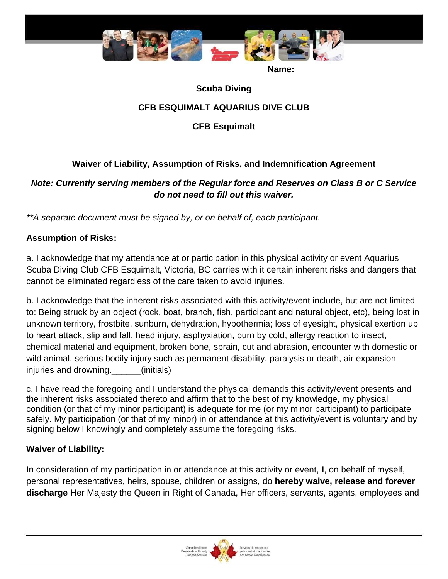

Name:

#### **Scuba Diving**

## **CFB ESQUIMALT AQUARIUS DIVE CLUB**

**CFB Esquimalt**

# **Waiver of Liability, Assumption of Risks, and Indemnification Agreement**

### *Note: Currently serving members of the Regular force and Reserves on Class B or C Service do not need to fill out this waiver.*

*\*\*A separate document must be signed by, or on behalf of, each participant.* 

### **Assumption of Risks:**

a. I acknowledge that my attendance at or participation in this physical activity or event Aquarius Scuba Diving Club CFB Esquimalt, Victoria, BC carries with it certain inherent risks and dangers that cannot be eliminated regardless of the care taken to avoid injuries.

b. I acknowledge that the inherent risks associated with this activity/event include, but are not limited to: Being struck by an object (rock, boat, branch, fish, participant and natural object, etc), being lost in unknown territory, frostbite, sunburn, dehydration, hypothermia; loss of eyesight, physical exertion up to heart attack, slip and fall, head injury, asphyxiation, burn by cold, allergy reaction to insect, chemical material and equipment, broken bone, sprain, cut and abrasion, encounter with domestic or wild animal, serious bodily injury such as permanent disability, paralysis or death, air expansion injuries and drowning. (initials)

c. I have read the foregoing and I understand the physical demands this activity/event presents and the inherent risks associated thereto and affirm that to the best of my knowledge, my physical condition (or that of my minor participant) is adequate for me (or my minor participant) to participate safely. My participation (or that of my minor) in or attendance at this activity/event is voluntary and by signing below I knowingly and completely assume the foregoing risks.

### **Waiver of Liability:**

In consideration of my participation in or attendance at this activity or event, **I**, on behalf of myself, personal representatives, heirs, spouse, children or assigns, do **hereby waive, release and forever discharge** Her Majesty the Queen in Right of Canada, Her officers, servants, agents, employees and